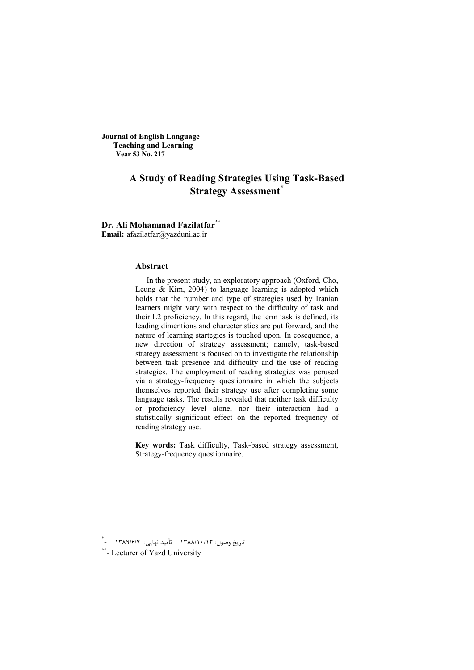**Journal of English Language Teaching and Learning Year 53 No. 217**

# **A Study of Reading Strategies Using Task-Based Strategy Assessment\***

**Dr. Ali Mohammad Fazilatfar\*\***

**Email:** afazilatfar@yazduni.ac.ir

#### **Abstract**

In the present study, an exploratory approach (Oxford, Cho, Leung  $\&$  Kim, 2004) to language learning is adopted which holds that the number and type of strategies used by Iranian learners might vary with respect to the difficulty of task and their L2 proficiency. In this regard, the term task is defined, its leading dimentions and charecteristics are put forward, and the nature of learning startegies is touched upon. In cosequence, a new direction of strategy assessment; namely, task-based strategy assessment is focused on to investigate the relationship between task presence and difficulty and the use of reading strategies. The employment of reading strategies was perused via a strategy-frequency questionnaire in which the subjects themselves reported their strategy use after completing some language tasks. The results revealed that neither task difficulty or proficiency level alone, nor their interaction had a statistically significant effect on the reported frequency of reading strategy use.

**Key words:** Task difficulty, Task-based strategy assessment, Strategy-frequency questionnaire.

<u>.</u>

<sup>\*</sup> University Yazd of Lecturer - \*\*تاریخ وصول: 1388/10/13 تأیید نهایی 7/6/ : 1389 -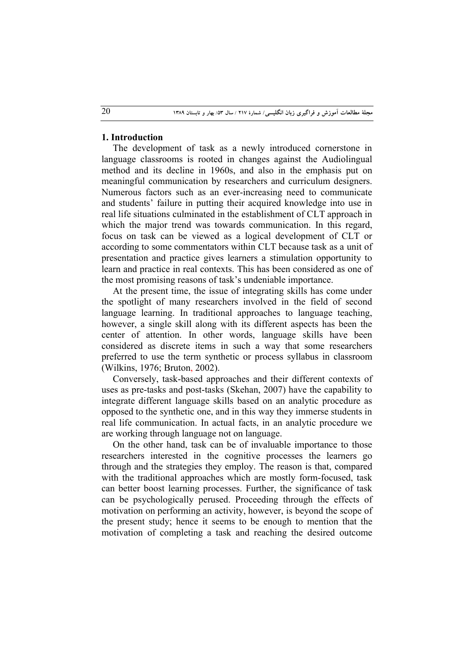# **1. Introduction**

The development of task as a newly introduced cornerstone in language classrooms is rooted in changes against the Audiolingual method and its decline in 1960s, and also in the emphasis put on meaningful communication by researchers and curriculum designers. Numerous factors such as an ever-increasing need to communicate and students' failure in putting their acquired knowledge into use in real life situations culminated in the establishment of CLT approach in which the major trend was towards communication. In this regard, focus on task can be viewed as a logical development of CLT or according to some commentators within CLT because task as a unit of presentation and practice gives learners a stimulation opportunity to learn and practice in real contexts. This has been considered as one of the most promising reasons of task's undeniable importance.

At the present time, the issue of integrating skills has come under the spotlight of many researchers involved in the field of second language learning. In traditional approaches to language teaching, however, a single skill along with its different aspects has been the center of attention. In other words, language skills have been considered as discrete items in such a way that some researchers preferred to use the term synthetic or process syllabus in classroom (Wilkins, 1976; Bruton, 2002).

Conversely, task-based approaches and their different contexts of uses as pre-tasks and post-tasks (Skehan, 2007) have the capability to integrate different language skills based on an analytic procedure as opposed to the synthetic one, and in this way they immerse students in real life communication. In actual facts, in an analytic procedure we are working through language not on language.

On the other hand, task can be of invaluable importance to those researchers interested in the cognitive processes the learners go through and the strategies they employ. The reason is that, compared with the traditional approaches which are mostly form-focused, task can better boost learning processes. Further, the significance of task can be psychologically perused. Proceeding through the effects of motivation on performing an activity, however, is beyond the scope of the present study; hence it seems to be enough to mention that the motivation of completing a task and reaching the desired outcome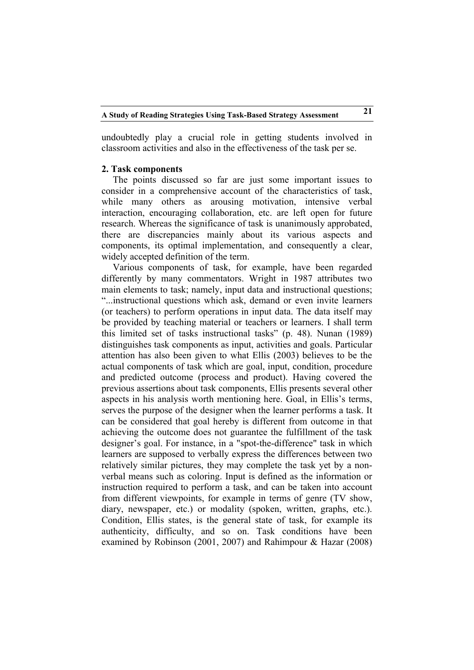undoubtedly play a crucial role in getting students involved in classroom activities and also in the effectiveness of the task per se.

#### **2. Task components**

The points discussed so far are just some important issues to consider in a comprehensive account of the characteristics of task, while many others as arousing motivation, intensive verbal interaction, encouraging collaboration, etc. are left open for future research. Whereas the significance of task is unanimously approbated, there are discrepancies mainly about its various aspects and components, its optimal implementation, and consequently a clear, widely accepted definition of the term.

Various components of task, for example, have been regarded differently by many commentators. Wright in 1987 attributes two main elements to task; namely, input data and instructional questions; "...instructional questions which ask, demand or even invite learners (or teachers) to perform operations in input data. The data itself may be provided by teaching material or teachers or learners. I shall term this limited set of tasks instructional tasks" (p. 48). Nunan (1989) distinguishes task components as input, activities and goals. Particular attention has also been given to what Ellis (2003) believes to be the actual components of task which are goal, input, condition, procedure and predicted outcome (process and product). Having covered the previous assertions about task components, Ellis presents several other aspects in his analysis worth mentioning here. Goal, in Ellis's terms, serves the purpose of the designer when the learner performs a task. It can be considered that goal hereby is different from outcome in that achieving the outcome does not guarantee the fulfillment of the task designer's goal. For instance, in a "spot-the-difference" task in which learners are supposed to verbally express the differences between two relatively similar pictures, they may complete the task yet by a nonverbal means such as coloring. Input is defined as the information or instruction required to perform a task, and can be taken into account from different viewpoints, for example in terms of genre (TV show, diary, newspaper, etc.) or modality (spoken, written, graphs, etc.). Condition, Ellis states, is the general state of task, for example its authenticity, difficulty, and so on. Task conditions have been examined by Robinson (2001, 2007) and Rahimpour & Hazar (2008)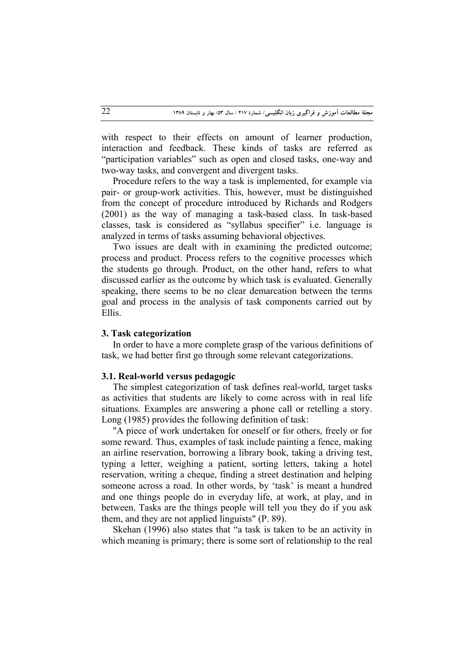with respect to their effects on amount of learner production. interaction and feedback. These kinds of tasks are referred as "participation variables" such as open and closed tasks, one-way and two-way tasks, and convergent and divergent tasks.

Procedure refers to the way a task is implemented, for example via pair- or group-work activities. This, however, must be distinguished from the concept of procedure introduced by Richards and Rodgers (2001) as the way of managing a task-based class. In task-based classes, task is considered as "syllabus specifier" i.e. language is analyzed in terms of tasks assuming behavioral objectives.

Two issues are dealt with in examining the predicted outcome; process and product. Process refers to the cognitive processes which the students go through. Product, on the other hand, refers to what discussed earlier as the outcome by which task is evaluated. Generally speaking, there seems to be no clear demarcation between the terms goal and process in the analysis of task components carried out by Ellis.

#### **3. Task categorization**

In order to have a more complete grasp of the various definitions of task, we had better first go through some relevant categorizations.

#### **3.1. Real-world versus pedagogic**

The simplest categorization of task defines real-world, target tasks as activities that students are likely to come across with in real life situations. Examples are answering a phone call or retelling a story. Long (1985) provides the following definition of task:

"A piece of work undertaken for oneself or for others, freely or for some reward. Thus, examples of task include painting a fence, making an airline reservation, borrowing a library book, taking a driving test, typing a letter, weighing a patient, sorting letters, taking a hotel reservation, writing a cheque, finding a street destination and helping someone across a road. In other words, by 'task' is meant a hundred and one things people do in everyday life, at work, at play, and in between. Tasks are the things people will tell you they do if you ask them, and they are not applied linguists" (P. 89).

Skehan (1996) also states that "a task is taken to be an activity in which meaning is primary; there is some sort of relationship to the real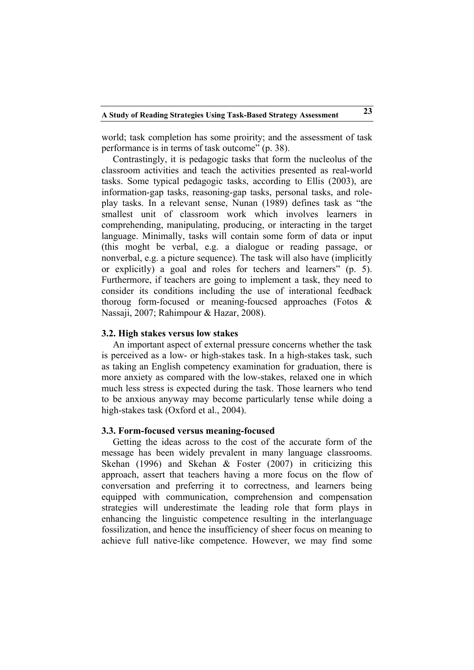world; task completion has some proirity; and the assessment of task performance is in terms of task outcome" (p. 38).

Contrastingly, it is pedagogic tasks that form the nucleolus of the classroom activities and teach the activities presented as real-world tasks. Some typical pedagogic tasks, according to Ellis (2003), are information-gap tasks, reasoning-gap tasks, personal tasks, and roleplay tasks. In a relevant sense, Nunan (1989) defines task as "the smallest unit of classroom work which involves learners in comprehending, manipulating, producing, or interacting in the target language. Minimally, tasks will contain some form of data or input (this moght be verbal, e.g. a dialogue or reading passage, or nonverbal, e.g. a picture sequence). The task will also have (implicitly or explicitly) a goal and roles for techers and learners" (p. 5). Furthermore, if teachers are going to implement a task, they need to consider its conditions including the use of interational feedback thoroug form-focused or meaning-foucsed approaches (Fotos & Nassaji, 2007; Rahimpour & Hazar, 2008).

## **3.2. High stakes versus low stakes**

An important aspect of external pressure concerns whether the task is perceived as a low- or high-stakes task. In a high-stakes task, such as taking an English competency examination for graduation, there is more anxiety as compared with the low-stakes, relaxed one in which much less stress is expected during the task. Those learners who tend to be anxious anyway may become particularly tense while doing a high-stakes task (Oxford et al., 2004).

#### **3.3. Form-focused versus meaning-focused**

Getting the ideas across to the cost of the accurate form of the message has been widely prevalent in many language classrooms. Skehan (1996) and Skehan & Foster (2007) in criticizing this approach, assert that teachers having a more focus on the flow of conversation and preferring it to correctness, and learners being equipped with communication, comprehension and compensation strategies will underestimate the leading role that form plays in enhancing the linguistic competence resulting in the interlanguage fossilization, and hence the insufficiency of sheer focus on meaning to achieve full native-like competence. However, we may find some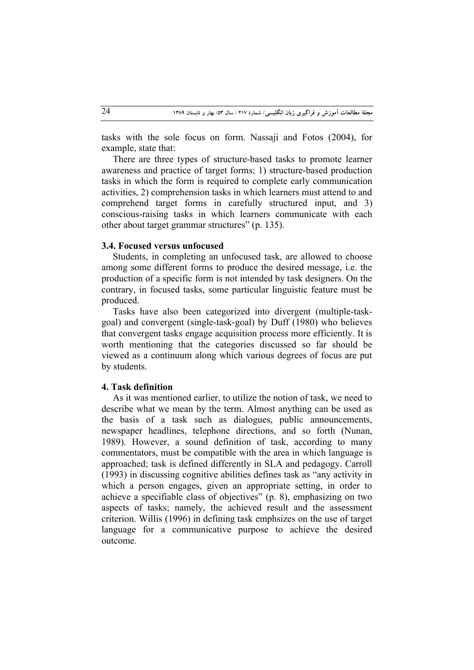tasks with the sole focus on form. Nassaji and Fotos (2004), for example, state that:

There are three types of structure-based tasks to promote learner awareness and practice of target forms; 1) structure-based production tasks in which the form is required to complete early communication activities, 2) comprehension tasks in which learners must attend to and comprehend target forms in carefully structured input, and 3) conscious-raising tasks in which learners communicate with each other about target grammar structures" (p. 135).

#### **3.4. Focused versus unfocused**

Students, in completing an unfocused task, are allowed to choose among some different forms to produce the desired message, i.e. the production of a specific form is not intended by task designers. On the contrary, in focused tasks, some particular linguistic feature must be produced.

Tasks have also been categorized into divergent (multiple-taskgoal) and convergent (single-task-goal) by Duff (1980) who believes that convergent tasks engage acquisition process more efficiently. It is worth mentioning that the categories discussed so far should be viewed as a continuum along which various degrees of focus are put by students.

### **4. Task definition**

As it was mentioned earlier, to utilize the notion of task, we need to describe what we mean by the term. Almost anything can be used as the basis of a task such as dialogues, public announcements, newspaper headlines, telephone directions, and so forth (Nunan, 1989). However, a sound definition of task, according to many commentators, must be compatible with the area in which language is approached; task is defined differently in SLA and pedagogy. Carroll (1993) in discussing cognitive abilities defines task as "any activity in which a person engages, given an appropriate setting, in order to achieve a specifiable class of objectives" (p. 8), emphasizing on two aspects of tasks; namely, the achieved result and the assessment criterion. Willis (1996) in defining task emphsizes on the use of target language for a communicative purpose to achieve the desired outcome.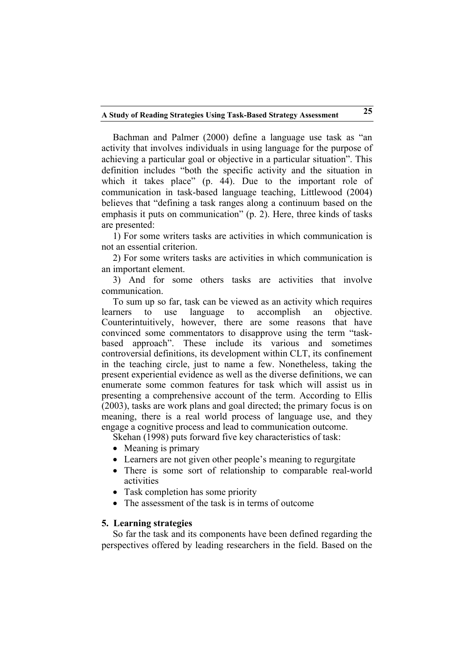Bachman and Palmer (2000) define a language use task as "an activity that involves individuals in using language for the purpose of achieving a particular goal or objective in a particular situation". This definition includes "both the specific activity and the situation in which it takes place" (p. 44). Due to the important role of communication in task-based language teaching, Littlewood (2004) believes that "defining a task ranges along a continuum based on the emphasis it puts on communication" (p. 2). Here, three kinds of tasks are presented:

1) For some writers tasks are activities in which communication is not an essential criterion.

2) For some writers tasks are activities in which communication is an important element.

3) And for some others tasks are activities that involve communication.

To sum up so far, task can be viewed as an activity which requires learners to use language to accomplish an objective. Counterintuitively, however, there are some reasons that have convinced some commentators to disapprove using the term "taskbased approach". These include its various and sometimes controversial definitions, its development within CLT, its confinement in the teaching circle, just to name a few. Nonetheless, taking the present experiential evidence as well as the diverse definitions, we can enumerate some common features for task which will assist us in presenting a comprehensive account of the term. According to Ellis (2003), tasks are work plans and goal directed; the primary focus is on meaning, there is a real world process of language use, and they engage a cognitive process and lead to communication outcome.

Skehan (1998) puts forward five key characteristics of task:

- Meaning is primary
- Learners are not given other people's meaning to regurgitate
- There is some sort of relationship to comparable real-world activities
- Task completion has some priority
- The assessment of the task is in terms of outcome

# **5. Learning strategies**

So far the task and its components have been defined regarding the perspectives offered by leading researchers in the field. Based on the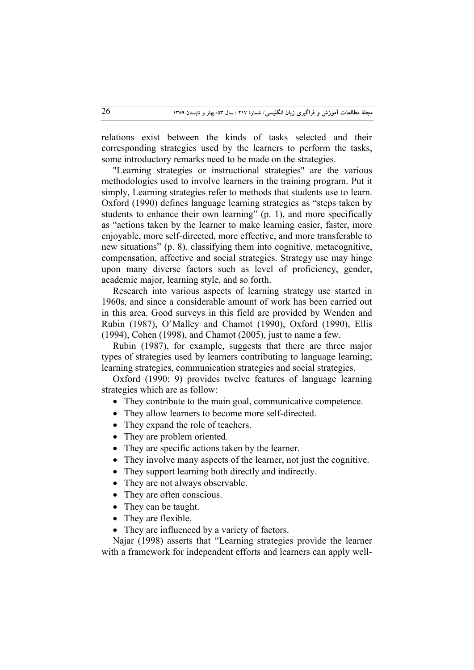relations exist between the kinds of tasks selected and their corresponding strategies used by the learners to perform the tasks, some introductory remarks need to be made on the strategies.

"Learning strategies or instructional strategies" are the various methodologies used to involve learners in the training program. Put it simply, Learning strategies refer to methods that students use to learn. Oxford (1990) defines language learning strategies as "steps taken by students to enhance their own learning" (p. 1), and more specifically as "actions taken by the learner to make learning easier, faster, more enjoyable, more self-directed, more effective, and more transferable to new situations" (p. 8), classifying them into cognitive, metacognitive, compensation, affective and social strategies. Strategy use may hinge upon many diverse factors such as level of proficiency, gender, academic major, learning style, and so forth.

Research into various aspects of learning strategy use started in 1960s, and since a considerable amount of work has been carried out in this area. Good surveys in this field are provided by Wenden and Rubin (1987), O'Malley and Chamot (1990), Oxford (1990), Ellis (1994), Cohen (1998), and Chamot (2005), just to name a few.

Rubin (1987), for example, suggests that there are three major types of strategies used by learners contributing to language learning; learning strategies, communication strategies and social strategies.

Oxford (1990: 9) provides twelve features of language learning strategies which are as follow:

- They contribute to the main goal, communicative competence.
- They allow learners to become more self-directed.
- They expand the role of teachers.
- They are problem oriented.
- They are specific actions taken by the learner.
- They involve many aspects of the learner, not just the cognitive.
- They support learning both directly and indirectly.
- They are not always observable.
- They are often conscious.
- They can be taught.
- They are flexible.
- They are influenced by a variety of factors.

Najar (1998) asserts that "Learning strategies provide the learner with a framework for independent efforts and learners can apply well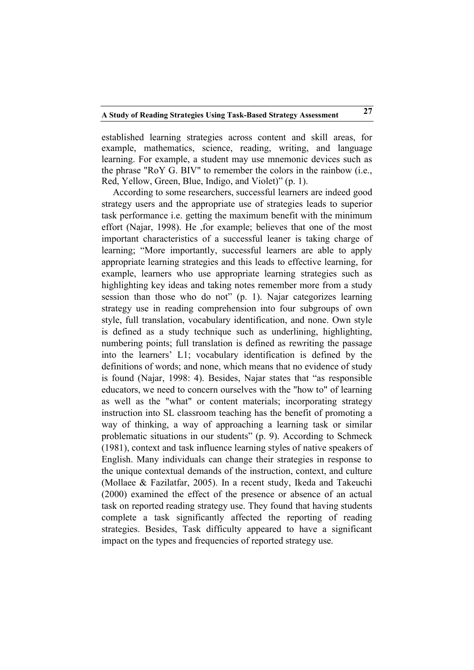established learning strategies across content and skill areas, for example, mathematics, science, reading, writing, and language learning. For example, a student may use mnemonic devices such as the phrase "RoY G. BIV" to remember the colors in the rainbow (i.e., Red, Yellow, Green, Blue, Indigo, and Violet)" (p. 1).

According to some researchers, successful learners are indeed good strategy users and the appropriate use of strategies leads to superior task performance i.e. getting the maximum benefit with the minimum effort (Najar, 1998). He ,for example; believes that one of the most important characteristics of a successful leaner is taking charge of learning; "More importantly, successful learners are able to apply appropriate learning strategies and this leads to effective learning, for example, learners who use appropriate learning strategies such as highlighting key ideas and taking notes remember more from a study session than those who do not" (p. 1). Najar categorizes learning strategy use in reading comprehension into four subgroups of own style, full translation, vocabulary identification, and none. Own style is defined as a study technique such as underlining, highlighting, numbering points; full translation is defined as rewriting the passage into the learners' L1; vocabulary identification is defined by the definitions of words; and none, which means that no evidence of study is found (Najar, 1998: 4). Besides, Najar states that "as responsible educators, we need to concern ourselves with the "how to" of learning as well as the "what" or content materials; incorporating strategy instruction into SL classroom teaching has the benefit of promoting a way of thinking, a way of approaching a learning task or similar problematic situations in our students" (p. 9). According to Schmeck (1981), context and task influence learning styles of native speakers of English. Many individuals can change their strategies in response to the unique contextual demands of the instruction, context, and culture (Mollaee & Fazilatfar, 2005). In a recent study, Ikeda and Takeuchi (2000) examined the effect of the presence or absence of an actual task on reported reading strategy use. They found that having students complete a task significantly affected the reporting of reading strategies. Besides, Task difficulty appeared to have a significant impact on the types and frequencies of reported strategy use.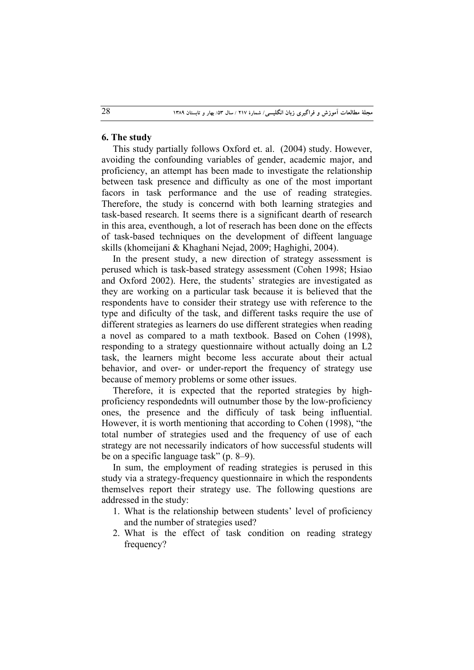# **6. The study**

This study partially follows Oxford et. al. (2004) study. However, avoiding the confounding variables of gender, academic major, and proficiency, an attempt has been made to investigate the relationship between task presence and difficulty as one of the most important facors in task performance and the use of reading strategies. Therefore, the study is concernd with both learning strategies and task-based research. It seems there is a significant dearth of research in this area, eventhough, a lot of reserach has been done on the effects of task-based techniques on the development of diffeent language skills (khomeijani & Khaghani Nejad, 2009; Haghighi, 2004).

In the present study, a new direction of strategy assessment is perused which is task-based strategy assessment (Cohen 1998; Hsiao and Oxford 2002). Here, the students' strategies are investigated as they are working on a particular task because it is believed that the respondents have to consider their strategy use with reference to the type and dificulty of the task, and different tasks require the use of different strategies as learners do use different strategies when reading a novel as compared to a math textbook. Based on Cohen (1998), responding to a strategy questionnaire without actually doing an L2 task, the learners might become less accurate about their actual behavior, and over- or under-report the frequency of strategy use because of memory problems or some other issues.

Therefore, it is expected that the reported strategies by highproficiency respondednts will outnumber those by the low-proficiency ones, the presence and the difficuly of task being influential. However, it is worth mentioning that according to Cohen (1998), "the total number of strategies used and the frequency of use of each strategy are not necessarily indicators of how successful students will be on a specific language task" (p. 8–9).

In sum, the employment of reading strategies is perused in this study via a strategy-frequency questionnaire in which the respondents themselves report their strategy use. The following questions are addressed in the study:

- 1. What is the relationship between students' level of proficiency and the number of strategies used?
- 2. What is the effect of task condition on reading strategy frequency?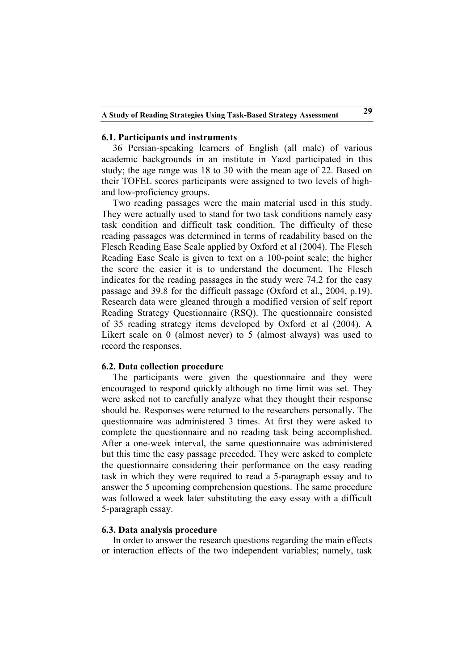#### **6.1. Participants and instruments**

36 Persian-speaking learners of English (all male) of various academic backgrounds in an institute in Yazd participated in this study; the age range was 18 to 30 with the mean age of 22. Based on their TOFEL scores participants were assigned to two levels of highand low-proficiency groups.

Two reading passages were the main material used in this study. They were actually used to stand for two task conditions namely easy task condition and difficult task condition. The difficulty of these reading passages was determined in terms of readability based on the Flesch Reading Ease Scale applied by Oxford et al (2004). The Flesch Reading Ease Scale is given to text on a 100-point scale; the higher the score the easier it is to understand the document. The Flesch indicates for the reading passages in the study were 74.2 for the easy passage and 39.8 for the difficult passage (Oxford et al., 2004, p.19). Research data were gleaned through a modified version of self report Reading Strategy Questionnaire (RSQ). The questionnaire consisted of 35 reading strategy items developed by Oxford et al (2004). A Likert scale on 0 (almost never) to 5 (almost always) was used to record the responses.

#### **6.2. Data collection procedure**

The participants were given the questionnaire and they were encouraged to respond quickly although no time limit was set. They were asked not to carefully analyze what they thought their response should be. Responses were returned to the researchers personally. The questionnaire was administered 3 times. At first they were asked to complete the questionnaire and no reading task being accomplished. After a one-week interval, the same questionnaire was administered but this time the easy passage preceded. They were asked to complete the questionnaire considering their performance on the easy reading task in which they were required to read a 5-paragraph essay and to answer the 5 upcoming comprehension questions. The same procedure was followed a week later substituting the easy essay with a difficult 5-paragraph essay.

### **6.3. Data analysis procedure**

In order to answer the research questions regarding the main effects or interaction effects of the two independent variables; namely, task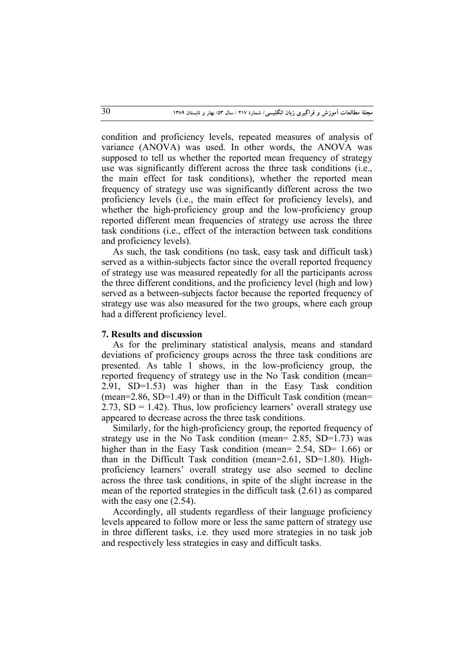condition and proficiency levels, repeated measures of analysis of variance (ANOVA) was used. In other words, the ANOVA was supposed to tell us whether the reported mean frequency of strategy use was significantly different across the three task conditions (i.e., the main effect for task conditions), whether the reported mean frequency of strategy use was significantly different across the two proficiency levels (i.e., the main effect for proficiency levels), and whether the high-proficiency group and the low-proficiency group reported different mean frequencies of strategy use across the three task conditions (i.e., effect of the interaction between task conditions and proficiency levels).

As such, the task conditions (no task, easy task and difficult task) served as a within-subjects factor since the overall reported frequency of strategy use was measured repeatedly for all the participants across the three different conditions, and the proficiency level (high and low) served as a between-subjects factor because the reported frequency of strategy use was also measured for the two groups, where each group had a different proficiency level.

#### **7. Results and discussion**

As for the preliminary statistical analysis, means and standard deviations of proficiency groups across the three task conditions are presented. As table 1 shows, in the low-proficiency group, the reported frequency of strategy use in the No Task condition (mean= 2.91, SD=1.53) was higher than in the Easy Task condition  $(mean=2.86, SD=1.49)$  or than in the Difficult Task condition (mean= 2.73,  $SD = 1.42$ ). Thus, low proficiency learners' overall strategy use appeared to decrease across the three task conditions.

Similarly, for the high-proficiency group, the reported frequency of strategy use in the No Task condition (mean= 2.85, SD=1.73) was higher than in the Easy Task condition (mean= 2.54, SD= 1.66) or than in the Difficult Task condition (mean=2.61, SD=1.80). Highproficiency learners' overall strategy use also seemed to decline across the three task conditions, in spite of the slight increase in the mean of the reported strategies in the difficult task (2.61) as compared with the easy one (2.54).

Accordingly, all students regardless of their language proficiency levels appeared to follow more or less the same pattern of strategy use in three different tasks, i.e. they used more strategies in no task job and respectively less strategies in easy and difficult tasks.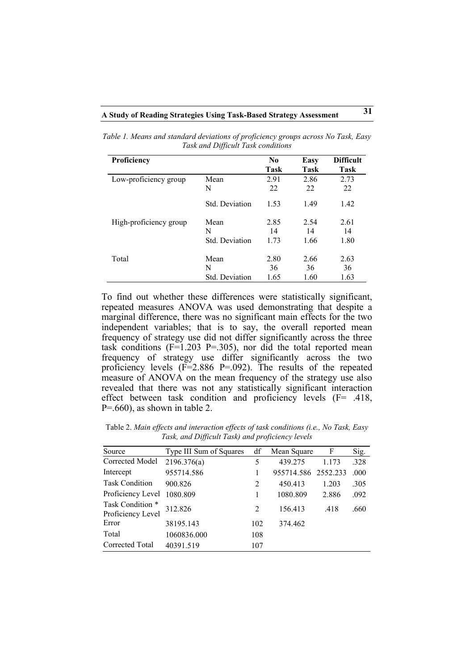| Proficiency            |                       | N <sub>0</sub><br>Task | Easy<br>Task | <b>Difficult</b><br>Task |
|------------------------|-----------------------|------------------------|--------------|--------------------------|
| Low-proficiency group  | Mean                  | 2.91                   | 2.86         | 2.73                     |
|                        | N                     | 22                     | 22           | 22                       |
|                        | <b>Std.</b> Deviation | 1.53                   | 1.49         | 1.42                     |
| High-proficiency group | Mean                  | 2.85                   | 2.54         | 2.61                     |
|                        | N                     | 14                     | 14           | 14                       |
|                        | <b>Std.</b> Deviation | 1.73                   | 1.66         | 1.80                     |
| Total                  | Mean                  | 2.80                   | 2.66         | 2.63                     |
|                        | N                     | 36                     | 36           | 36                       |
|                        | <b>Std. Deviation</b> | 1.65                   | 1.60         | 1.63                     |

*Table 1. Means and standard deviations of proficiency groups across No Task, Easy Task and Difficult Task conditions*

To find out whether these differences were statistically significant, repeated measures ANOVA was used demonstrating that despite a marginal difference, there was no significant main effects for the two independent variables; that is to say, the overall reported mean frequency of strategy use did not differ significantly across the three task conditions  $(F=1.203 \text{ P} = .305)$ , nor did the total reported mean frequency of strategy use differ significantly across the two proficiency levels  $(F=2.886 \text{ P} = .092)$ . The results of the repeated measure of ANOVA on the mean frequency of the strategy use also revealed that there was not any statistically significant interaction effect between task condition and proficiency levels (F= .418,  $P = 660$ , as shown in table 2.

Table 2. *Main effects and interaction effects of task conditions (i.e., No Task, Easy Task, and Difficult Task) and proficiency levels*

| Source                                | Type III Sum of Squares | df  | Mean Square         | F     | Sig. |
|---------------------------------------|-------------------------|-----|---------------------|-------|------|
| Corrected Model                       | 2196.376(a)             | 5   | 439.275             | 1.173 | .328 |
| Intercept                             | 955714.586              |     | 955714.586 2552.233 |       | .000 |
| <b>Task Condition</b>                 | 900.826                 | 2   | 450.413             | 1.203 | .305 |
| Proficiency Level                     | 1080.809                |     | 1080.809            | 2.886 | .092 |
| Task Condition *<br>Proficiency Level | 312.826                 | 2   | 156.413             | .418  | .660 |
| Error                                 | 38195.143               | 102 | 374.462             |       |      |
| Total                                 | 1060836.000             | 108 |                     |       |      |
| Corrected Total                       | 40391.519               | 107 |                     |       |      |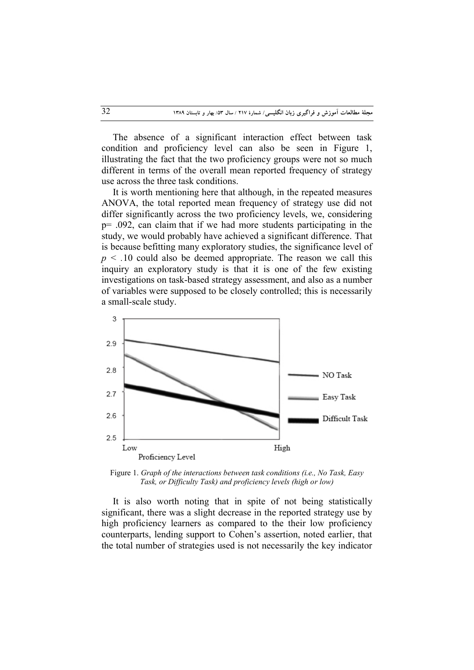The absence of a significant interaction effect between task condition and proficiency level can also be seen in Figure 1, illustrating the fact that the two proficiency groups were not so much different in terms of the overall mean reported frequency of strategy use across the three task conditions.

It is worth mentioning here that although, in the repeated measures ANOVA, the total reported mean frequency of strategy use did not differ significantly across the two proficiency levels, we, considering p= .092, can claim that if we had more students participating in the study, we would probably have achieved a significant difference. That is because befitting many exploratory studies, the significance level of  $p \leq 0.10$  could also be deemed appropriate. The reason we call this inquiry an exploratory study is that it is one of the few existing investigations on task-based strategy assessment, and also as a number of variables were supposed to be closely controlled; this is necessarily a small-scale study.



Figure 1. *Graph of the interactions between task conditions (i.e., No Task, Easy Task, or Difficulty Task) and proficiency levels (high or low)*

It is also worth noting that in spite of not being statistically significant, there was a slight decrease in the reported strategy use by high proficiency learners as compared to the their low proficiency counterparts, lending support to Cohen's assertion, noted earlier, that the total number of strategies used is not necessarily the key indicator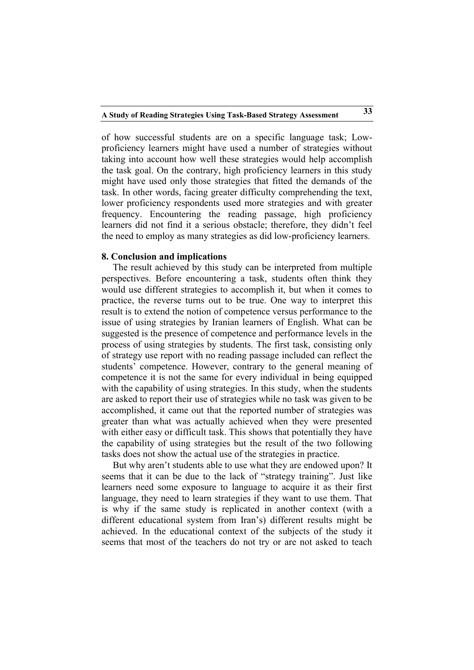of how successful students are on a specific language task; Lowproficiency learners might have used a number of strategies without taking into account how well these strategies would help accomplish the task goal. On the contrary, high proficiency learners in this study might have used only those strategies that fitted the demands of the task. In other words, facing greater difficulty comprehending the text, lower proficiency respondents used more strategies and with greater frequency. Encountering the reading passage, high proficiency learners did not find it a serious obstacle; therefore, they didn't feel the need to employ as many strategies as did low-proficiency learners.

### **8. Conclusion and implications**

The result achieved by this study can be interpreted from multiple perspectives. Before encountering a task, students often think they would use different strategies to accomplish it, but when it comes to practice, the reverse turns out to be true. One way to interpret this result is to extend the notion of competence versus performance to the issue of using strategies by Iranian learners of English. What can be suggested is the presence of competence and performance levels in the process of using strategies by students. The first task, consisting only of strategy use report with no reading passage included can reflect the students' competence. However, contrary to the general meaning of competence it is not the same for every individual in being equipped with the capability of using strategies. In this study, when the students are asked to report their use of strategies while no task was given to be accomplished, it came out that the reported number of strategies was greater than what was actually achieved when they were presented with either easy or difficult task. This shows that potentially they have the capability of using strategies but the result of the two following tasks does not show the actual use of the strategies in practice.

But why aren't students able to use what they are endowed upon? It seems that it can be due to the lack of "strategy training". Just like learners need some exposure to language to acquire it as their first language, they need to learn strategies if they want to use them. That is why if the same study is replicated in another context (with a different educational system from Iran's) different results might be achieved. In the educational context of the subjects of the study it seems that most of the teachers do not try or are not asked to teach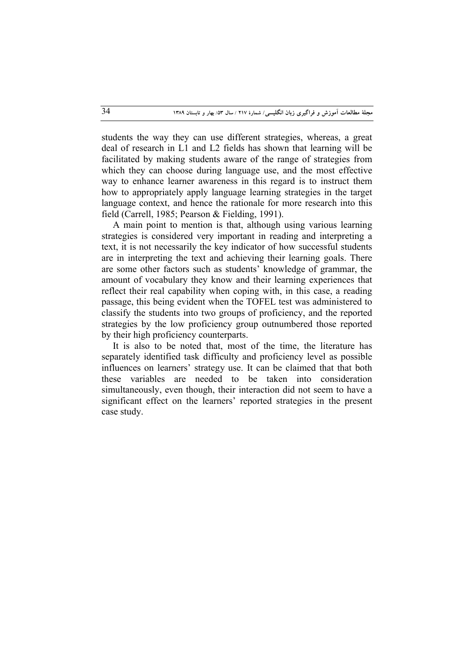students the way they can use different strategies, whereas, a great deal of research in L1 and L2 fields has shown that learning will be facilitated by making students aware of the range of strategies from which they can choose during language use, and the most effective way to enhance learner awareness in this regard is to instruct them how to appropriately apply language learning strategies in the target language context, and hence the rationale for more research into this field (Carrell, 1985; Pearson & Fielding, 1991).

A main point to mention is that, although using various learning strategies is considered very important in reading and interpreting a text, it is not necessarily the key indicator of how successful students are in interpreting the text and achieving their learning goals. There are some other factors such as students' knowledge of grammar, the amount of vocabulary they know and their learning experiences that reflect their real capability when coping with, in this case, a reading passage, this being evident when the TOFEL test was administered to classify the students into two groups of proficiency, and the reported strategies by the low proficiency group outnumbered those reported by their high proficiency counterparts.

It is also to be noted that, most of the time, the literature has separately identified task difficulty and proficiency level as possible influences on learners' strategy use. It can be claimed that that both these variables are needed to be taken into consideration simultaneously, even though, their interaction did not seem to have a significant effect on the learners' reported strategies in the present case study.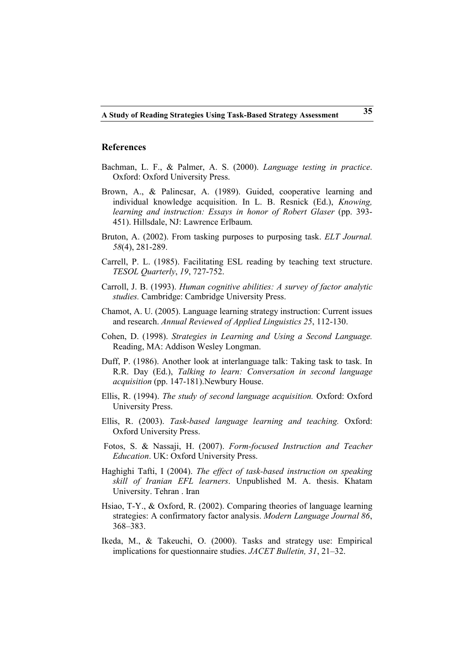#### **References**

- Bachman, L. F., & Palmer, A. S. (2000). *Language testing in practice*. Oxford: Oxford University Press.
- Brown, A., & Palincsar, A. (1989). Guided, cooperative learning and individual knowledge acquisition. In L. B. Resnick (Ed.), *Knowing, learning and instruction: Essays in honor of Robert Glaser* (pp. 393- 451). Hillsdale, NJ: Lawrence Erlbaum.
- Bruton, A. (2002). From tasking purposes to purposing task. *ELT Journal. 58*(4), 281-289.
- Carrell, P. L. (1985). Facilitating ESL reading by teaching text structure. *TESOL Quarterly*, *19*, 727-752.
- Carroll, J. B. (1993). *Human cognitive abilities: A survey of factor analytic studies.* Cambridge: Cambridge University Press.
- Chamot, A. U. (2005). Language learning strategy instruction: Current issues and research. *Annual Reviewed of Applied Linguistics 25*, 112-130.
- Cohen, D. (1998). *Strategies in Learning and Using a Second Language.* Reading, MA: Addison Wesley Longman.
- Duff, P. (1986). Another look at interlanguage talk: Taking task to task. In R.R. Day (Ed.), *Talking to learn: Conversation in second language acquisition* (pp. 147-181).Newbury House.
- Ellis, R. (1994). *The study of second language acquisition.* Oxford: Oxford University Press.
- Ellis, R. (2003). *Task-based language learning and teaching.* Oxford: Oxford University Press.
- Fotos, S. & Nassaji, H. (2007). *Form-focused Instruction and Teacher Education*. UK: Oxford University Press.
- Haghighi Tafti, I (2004). *The effect of task-based instruction on speaking skill of Iranian EFL learners*. Unpublished M. A. thesis. Khatam University. Tehran . Iran
- Hsiao, T-Y., & Oxford, R. (2002). Comparing theories of language learning strategies: A confirmatory factor analysis. *Modern Language Journal 86*, 368–383.
- Ikeda, M., & Takeuchi, O. (2000). Tasks and strategy use: Empirical implications for questionnaire studies. *JACET Bulletin, 31*, 21–32.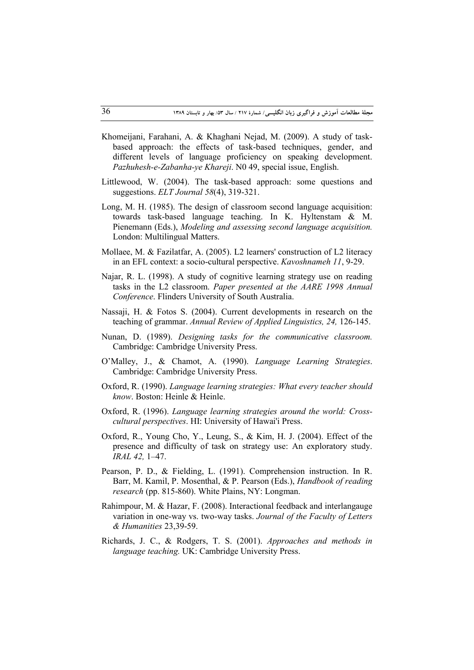- Khomeijani, Farahani, A. & Khaghani Nejad, M. (2009). A study of taskbased approach: the effects of task-based techniques, gender, and different levels of language proficiency on speaking development. *Pazhuhesh-e-Zabanha-ye Khareji*. N0 49, special issue, English.
- Littlewood, W. (2004). The task-based approach: some questions and suggestions. *ELT Journal 58*(4), 319-321.
- Long, M. H. (1985). The design of classroom second language acquisition: towards task-based language teaching. In K. Hyltenstam & M. Pienemann (Eds.), *Modeling and assessing second language acquisition.* London: Multilingual Matters.
- Mollaee, M. & Fazilatfar, A. (2005). L2 learners' construction of L2 literacy in an EFL context: a socio-cultural perspective. *Kavoshnameh 11*, 9-29.
- Najar, R. L. (1998). A study of cognitive learning strategy use on reading tasks in the L2 classroom. *Paper presented at the AARE 1998 Annual Conference*. Flinders University of South Australia.
- Nassaji, H. & Fotos S. (2004). Current developments in research on the teaching of grammar. *Annual Review of Applied Linguistics, 24,* 126-145.
- Nunan, D. (1989). *Designing tasks for the communicative classroom.*  Cambridge: Cambridge University Press.
- O'Malley, J., & Chamot, A. (1990). *Language Learning Strategies*. Cambridge: Cambridge University Press.
- Oxford, R. (1990). *Language learning strategies: What every teacher should know*. Boston: Heinle & Heinle.
- Oxford, R. (1996). *Language learning strategies around the world: Crosscultural perspectives*. HI: University of Hawai'i Press.
- Oxford, R., Young Cho, Y., Leung, S., & Kim, H. J. (2004). Effect of the presence and difficulty of task on strategy use: An exploratory study. *IRAL 42,* 1–47.
- Pearson, P. D., & Fielding, L. (1991). Comprehension instruction. In R. Barr, M. Kamil, P. Mosenthal, & P. Pearson (Eds.), *Handbook of reading research* (pp. 815-860). White Plains, NY: Longman.
- Rahimpour, M. & Hazar, F. (2008). Interactional feedback and interlangauge variation in one-way vs. two-way tasks. *Journal of the Faculty of Letters & Humanities* 23,39-59.
- Richards, J. C., & Rodgers, T. S. (2001). *Approaches and methods in language teaching.* UK: Cambridge University Press.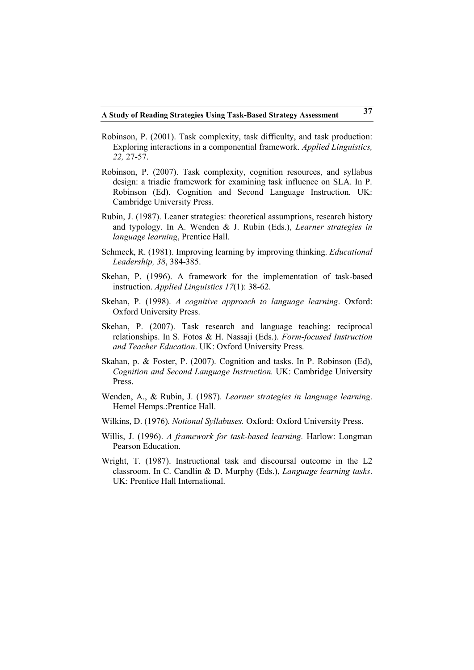- Robinson, P. (2001). Task complexity, task difficulty, and task production: Exploring interactions in a componential framework. *Applied Linguistics, 22,* 27-57.
- Robinson, P. (2007). Task complexity, cognition resources, and syllabus design: a triadic framework for examining task influence on SLA. In P. Robinson (Ed). Cognition and Second Language Instruction. UK: Cambridge University Press.
- Rubin, J. (1987). Leaner strategies: theoretical assumptions, research history and typology. In A. Wenden & J. Rubin (Eds.), *Learner strategies in language learning*, Prentice Hall.
- Schmeck, R. (1981). Improving learning by improving thinking. *Educational Leadership, 38*, 384-385.
- Skehan, P. (1996). A framework for the implementation of task-based instruction. *Applied Linguistics 17*(1): 38-62.
- Skehan, P. (1998). *A cognitive approach to language learning*. Oxford: Oxford University Press.
- Skehan, P. (2007). Task research and language teaching: reciprocal relationships. In S. Fotos & H. Nassaji (Eds.). *Form-focused Instruction and Teacher Education*. UK: Oxford University Press.
- Skahan, p. & Foster, P. (2007). Cognition and tasks. In P. Robinson (Ed), *Cognition and Second Language Instruction.* UK: Cambridge University Press.
- Wenden, A., & Rubin, J. (1987). *Learner strategies in language learning*. Hemel Hemps.:Prentice Hall.
- Wilkins, D. (1976). *Notional Syllabuses.* Oxford: Oxford University Press.
- Willis, J. (1996). *A framework for task-based learning.* Harlow: Longman Pearson Education.
- Wright, T. (1987). Instructional task and discoursal outcome in the L2 classroom. In C. Candlin & D. Murphy (Eds.), *Language learning tasks*. UK: Prentice Hall International.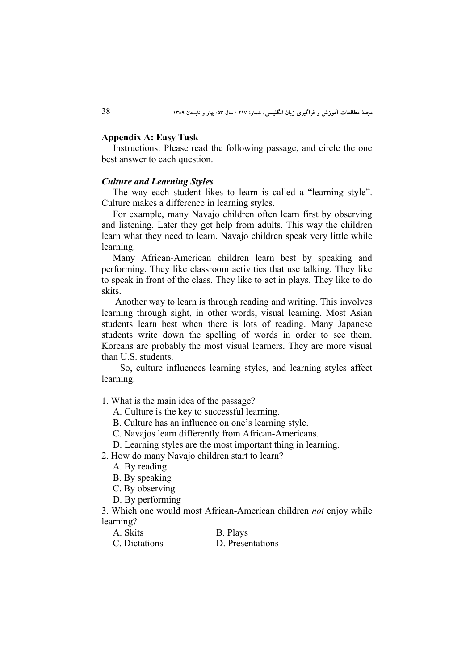#### **Appendix A: Easy Task**

Instructions: Please read the following passage, and circle the one best answer to each question.

# *Culture and Learning Styles*

The way each student likes to learn is called a "learning style". Culture makes a difference in learning styles.

For example, many Navajo children often learn first by observing and listening. Later they get help from adults. This way the children learn what they need to learn. Navajo children speak very little while learning.

Many African-American children learn best by speaking and performing. They like classroom activities that use talking. They like to speak in front of the class. They like to act in plays. They like to do skits.

 Another way to learn is through reading and writing. This involves learning through sight, in other words, visual learning. Most Asian students learn best when there is lots of reading. Many Japanese students write down the spelling of words in order to see them. Koreans are probably the most visual learners. They are more visual than U.S. students.

 So, culture influences learning styles, and learning styles affect learning.

1. What is the main idea of the passage?

A. Culture is the key to successful learning.

B. Culture has an influence on one's learning style.

C. Navajos learn differently from African-Americans.

D. Learning styles are the most important thing in learning.

2. How do many Navajo children start to learn?

A. By reading

B. By speaking

C. By observing

D. By performing

3. Which one would most African-American children *not* enjoy while learning?

| $\Delta$ | <b>Skits</b> |
|----------|--------------|
|----------|--------------|

C. Dictations D. Presentations

B. Plays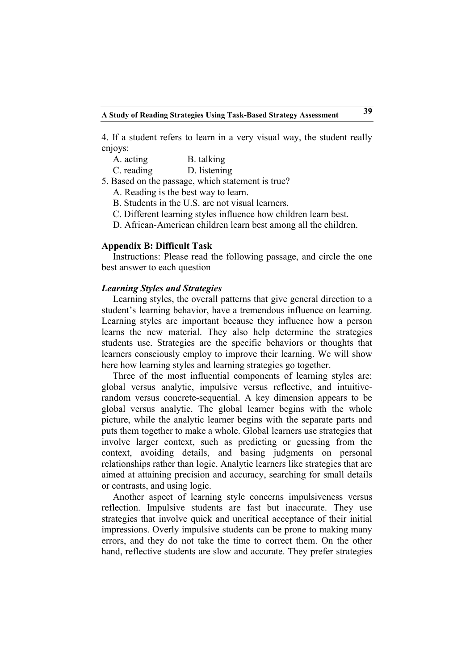4. If a student refers to learn in a very visual way, the student really enjoys:

| A. acting  | B. talking   |
|------------|--------------|
| C. reading | D. listening |

5. Based on the passage, which statement is true?

A. Reading is the best way to learn.

B. Students in the U.S. are not visual learners.

C. Different learning styles influence how children learn best.

D. African-American children learn best among all the children.

#### **Appendix B: Difficult Task**

Instructions: Please read the following passage, and circle the one best answer to each question

#### *Learning Styles and Strategies*

Learning styles, the overall patterns that give general direction to a student's learning behavior, have a tremendous influence on learning. Learning styles are important because they influence how a person learns the new material. They also help determine the strategies students use. Strategies are the specific behaviors or thoughts that learners consciously employ to improve their learning. We will show here how learning styles and learning strategies go together.

Three of the most influential components of learning styles are: global versus analytic, impulsive versus reflective, and intuitiverandom versus concrete-sequential. A key dimension appears to be global versus analytic. The global learner begins with the whole picture, while the analytic learner begins with the separate parts and puts them together to make a whole. Global learners use strategies that involve larger context, such as predicting or guessing from the context, avoiding details, and basing judgments on personal relationships rather than logic. Analytic learners like strategies that are aimed at attaining precision and accuracy, searching for small details or contrasts, and using logic.

Another aspect of learning style concerns impulsiveness versus reflection. Impulsive students are fast but inaccurate. They use strategies that involve quick and uncritical acceptance of their initial impressions. Overly impulsive students can be prone to making many errors, and they do not take the time to correct them. On the other hand, reflective students are slow and accurate. They prefer strategies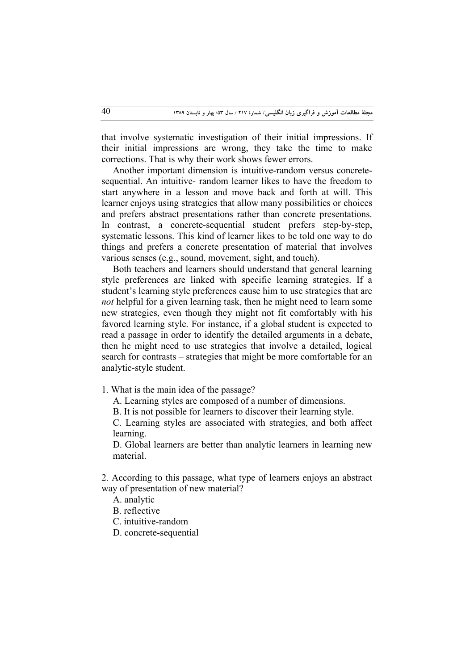that involve systematic investigation of their initial impressions. If their initial impressions are wrong, they take the time to make corrections. That is why their work shows fewer errors.

Another important dimension is intuitive-random versus concretesequential. An intuitive- random learner likes to have the freedom to start anywhere in a lesson and move back and forth at will. This learner enjoys using strategies that allow many possibilities or choices and prefers abstract presentations rather than concrete presentations. In contrast, a concrete-sequential student prefers step-by-step, systematic lessons. This kind of learner likes to be told one way to do things and prefers a concrete presentation of material that involves various senses (e.g., sound, movement, sight, and touch).

Both teachers and learners should understand that general learning style preferences are linked with specific learning strategies. If a student's learning style preferences cause him to use strategies that are *not* helpful for a given learning task, then he might need to learn some new strategies, even though they might not fit comfortably with his favored learning style. For instance, if a global student is expected to read a passage in order to identify the detailed arguments in a debate, then he might need to use strategies that involve a detailed, logical search for contrasts – strategies that might be more comfortable for an analytic-style student.

1. What is the main idea of the passage?

A. Learning styles are composed of a number of dimensions.

B. It is not possible for learners to discover their learning style.

C. Learning styles are associated with strategies, and both affect learning.

D. Global learners are better than analytic learners in learning new material.

2. According to this passage, what type of learners enjoys an abstract way of presentation of new material?

A. analytic

B. reflective

C. intuitive-random

D. concrete-sequential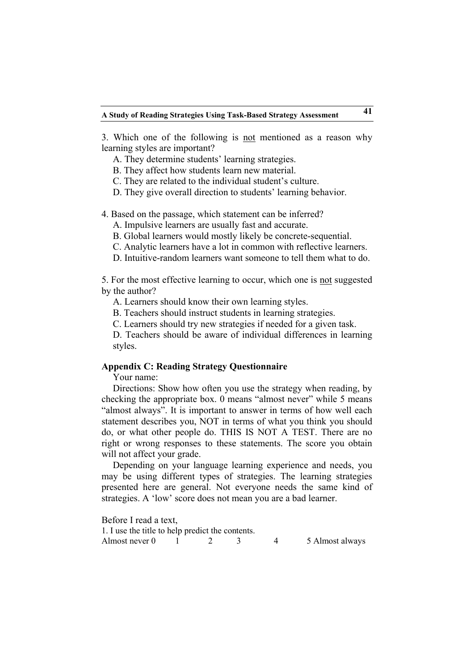3. Which one of the following is not mentioned as a reason why learning styles are important?

A. They determine students' learning strategies.

B. They affect how students learn new material.

C. They are related to the individual student's culture.

D. They give overall direction to students' learning behavior.

4. Based on the passage, which statement can be inferred?

A. Impulsive learners are usually fast and accurate.

B. Global learners would mostly likely be concrete-sequential.

C. Analytic learners have a lot in common with reflective learners.

D. Intuitive-random learners want someone to tell them what to do.

5. For the most effective learning to occur, which one is not suggested by the author?

A. Learners should know their own learning styles.

B. Teachers should instruct students in learning strategies.

C. Learners should try new strategies if needed for a given task.

D. Teachers should be aware of individual differences in learning styles.

### **Appendix C: Reading Strategy Questionnaire**

Your name:

Directions: Show how often you use the strategy when reading, by checking the appropriate box. 0 means "almost never" while 5 means "almost always". It is important to answer in terms of how well each statement describes you, NOT in terms of what you think you should do, or what other people do. THIS IS NOT A TEST. There are no right or wrong responses to these statements. The score you obtain will not affect your grade.

Depending on your language learning experience and needs, you may be using different types of strategies. The learning strategies presented here are general. Not everyone needs the same kind of strategies. A 'low' score does not mean you are a bad learner.

Before I read a text, 1. I use the title to help predict the contents. Almost never 0 1 2 3 4 5 Almost always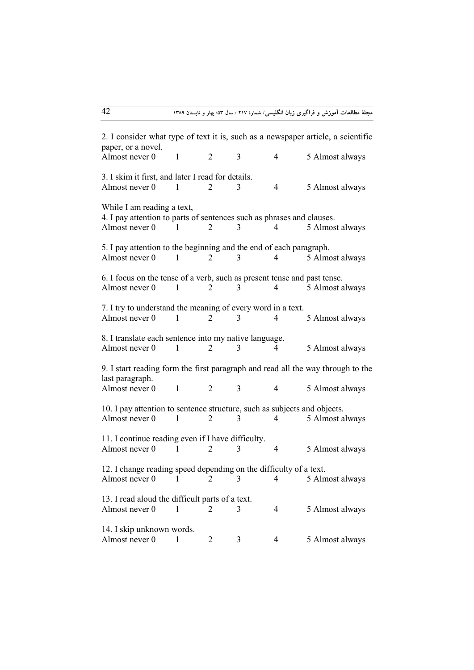2. I consider what type of text it is, such as a newspaper article, a scientific paper, or a novel. Almost never  $0 \t 1 \t 2 \t 3 \t 4 \t 5$  Almost always 3. I skim it first, and later I read for details. Almost never 0 1 2 3 4 5 Almost always While I am reading a text, 4. I pay attention to parts of sentences such as phrases and clauses. Almost never  $0 \t 1 \t 2 \t 3 \t 4 \t 5$  Almost always 5. I pay attention to the beginning and the end of each paragraph. Almost never  $0 \t 1 \t 2 \t 3 \t 4 \t 5$  Almost always 6. I focus on the tense of a verb, such as present tense and past tense. Almost never  $0 \t 1 \t 2 \t 3 \t 4 \t 5$  Almost always 7. I try to understand the meaning of every word in a text. Almost never  $0 \t 1 \t 2 \t 3 \t 4 \t 5$  Almost always 8. I translate each sentence into my native language. Almost never 0 1 2 3 4 5 Almost always 9. I start reading form the first paragraph and read all the way through to the last paragraph. Almost never 0 1 2 3 4 5 Almost always 10. I pay attention to sentence structure, such as subjects and objects. Almost never 0 1 2 3 4 5 Almost always 11. I continue reading even if I have difficulty. Almost never  $0 \t 1 \t 2 \t 3 \t 4 \t 5$  Almost always 12. I change reading speed depending on the difficulty of a text. Almost never 0 1 2 3 4 5 Almost always 13. I read aloud the difficult parts of a text. Almost never  $0 \t 1 \t 2 \t 3 \t 4 \t 5$  Almost always 14. I skip unknown words. Almost never 0 1 2 3 4 5 Almost always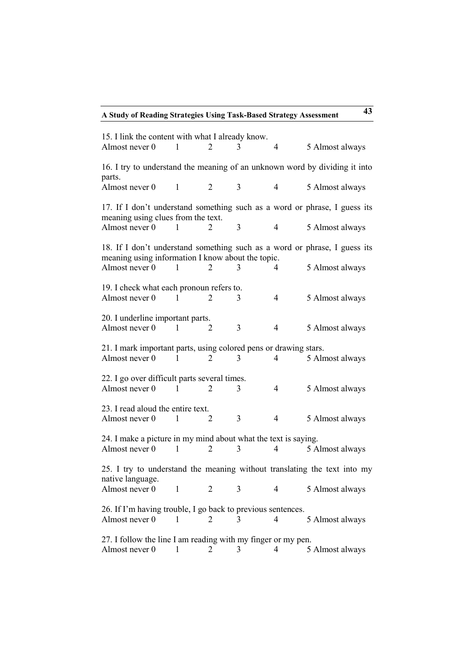**A Study of Reading Strategies Using Task-Based Strategy Assessment 43**

| 15. I link the content with what I already know.<br>Almost never 0                                                             | 1            | 2              | 3 | 4              | 5 Almost always |  |
|--------------------------------------------------------------------------------------------------------------------------------|--------------|----------------|---|----------------|-----------------|--|
| 16. I try to understand the meaning of an unknown word by dividing it into<br>parts.                                           |              |                |   |                |                 |  |
| Almost never 0                                                                                                                 | $\mathbf{1}$ | 2              | 3 | 4              | 5 Almost always |  |
| 17. If I don't understand something such as a word or phrase, I guess its<br>meaning using clues from the text.                |              |                |   |                |                 |  |
| Almost never 0                                                                                                                 | 1            | 2              | 3 | 4              | 5 Almost always |  |
| 18. If I don't understand something such as a word or phrase, I guess its<br>meaning using information I know about the topic. |              |                |   |                |                 |  |
| Almost never 0                                                                                                                 | 1            | 2              | 3 | 4              | 5 Almost always |  |
| 19. I check what each pronoun refers to.<br>Almost never 0                                                                     | 1            | 2              | 3 | $\overline{4}$ | 5 Almost always |  |
| 20. I underline important parts.<br>Almost never 0                                                                             | $\mathbf{1}$ | 2              | 3 | 4              | 5 Almost always |  |
| 21. I mark important parts, using colored pens or drawing stars.<br>Almost never 0                                             | 1            | 2              | 3 | 4              | 5 Almost always |  |
| 22. I go over difficult parts several times.<br>Almost never 0                                                                 | 1            | $\overline{2}$ | 3 | 4              | 5 Almost always |  |
| 23. I read aloud the entire text.<br>Almost never 0                                                                            | -1           | 2              | 3 | 4              | 5 Almost always |  |
| 24. I make a picture in my mind about what the text is saying.<br>Almost never 0<br>5 Almost always<br>1<br>3<br>4<br>2        |              |                |   |                |                 |  |
| 25. I try to understand the meaning without translating the text into my<br>native language.                                   |              |                |   |                |                 |  |
| Almost never 0                                                                                                                 | 1            | 2              | 3 | 4              | 5 Almost always |  |
| 26. If I'm having trouble, I go back to previous sentences.<br>Almost never 0<br>4<br>5 Almost always<br>3<br>2                |              |                |   |                |                 |  |
| 27. I follow the line I am reading with my finger or my pen.<br>Almost never 0                                                 |              | 2              | 3 | 4              | 5 Almost always |  |